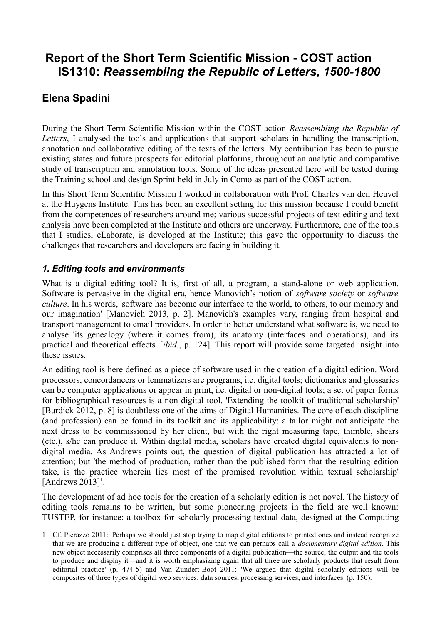# **Report of the Short Term Scientific Mission - COST action IS1310:** *Reassembling the Republic of Letters, 1500-1800*

# **Elena Spadini**

During the Short Term Scientific Mission within the COST action *Reassembling the Republic of Letters*, I analysed the tools and applications that support scholars in handling the transcription, annotation and collaborative editing of the texts of the letters. My contribution has been to pursue existing states and future prospects for editorial platforms, throughout an analytic and comparative study of transcription and annotation tools. Some of the ideas presented here will be tested during the Training school and design Sprint held in July in Como as part of the COST action.

In this Short Term Scientific Mission I worked in collaboration with Prof. Charles van den Heuvel at the Huygens Institute. This has been an excellent setting for this mission because I could benefit from the competences of researchers around me; various successful projects of text editing and text analysis have been completed at the Institute and others are underway. Furthermore, one of the tools that I studies, eLaborate, is developed at the Institute; this gave the opportunity to discuss the challenges that researchers and developers are facing in building it.

#### *1. Editing tools and environments*

What is a digital editing tool? It is, first of all, a program, a stand-alone or web application. Software is pervasive in the digital era, hence Manovich's notion of *software society* or *software culture*. In his words, 'software has become our interface to the world, to others, to our memory and our imagination' [Manovich 2013, p. 2]. Manovich's examples vary, ranging from hospital and transport management to email providers. In order to better understand what software is, we need to analyse 'its genealogy (where it comes from), its anatomy (interfaces and operations), and its practical and theoretical effects' [*ibid.*, p. 124]. This report will provide some targeted insight into these issues.

An editing tool is here defined as a piece of software used in the creation of a digital edition. Word processors, concordancers or lemmatizers are programs, i.e. digital tools; dictionaries and glossaries can be computer applications or appear in print, i.e. digital or non-digital tools; a set of paper forms for bibliographical resources is a non-digital tool. 'Extending the toolkit of traditional scholarship' [Burdick 2012, p. 8] is doubtless one of the aims of Digital Humanities. The core of each discipline (and profession) can be found in its toolkit and its applicability: a tailor might not anticipate the next dress to be commissioned by her client, but with the right measuring tape, thimble, shears (etc.), s/he can produce it. Within digital media, scholars have created digital equivalents to nondigital media. As Andrews points out, the question of digital publication has attracted a lot of attention; but 'the method of production, rather than the published form that the resulting edition take, is the practice wherein lies most of the promised revolution within textual scholarship' [Andrews  $2013$  $2013$  $2013$ ]<sup>1</sup>.

The development of ad hoc tools for the creation of a scholarly edition is not novel. The history of editing tools remains to be written, but some pioneering projects in the field are well known: TUSTEP, for instance: a toolbox for scholarly processing textual data, designed at the Computing

<span id="page-0-0"></span><sup>1</sup> Cf. Pierazzo 2011: 'Perhaps we should just stop trying to map digital editions to printed ones and instead recognize that we are producing a different type of object, one that we can perhaps call a *documentary digital edition*. This new object necessarily comprises all three components of a digital publication—the source, the output and the tools to produce and display it—and it is worth emphasizing again that all three are scholarly products that result from editorial practice' (p. 474-5) and Van Zundert-Boot 2011: 'We argued that digital scholarly editions will be composites of three types of digital web services: data sources, processing services, and interfaces' (p. 150).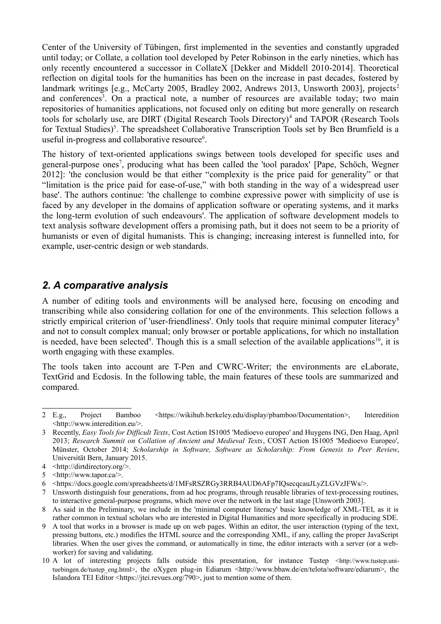Center of the University of Tübingen, first implemented in the seventies and constantly upgraded until today; or Collate, a collation tool developed by Peter Robinson in the early nineties, which has only recently encountered a successor in CollateX [Dekker and Middell 2010-2014]. Theoretical reflection on digital tools for the humanities has been on the increase in past decades, fostered by landmark writings [e.g., McCarty [2](#page-1-0)005, Bradley 2002, Andrews 2013, Unsworth 2003], projects<sup>2</sup> and conferences<sup>[3](#page-1-1)</sup>. On a practical note, a number of resources are available today; two main repositories of humanities applications, not focused only on editing but more generally on research tools for scholarly use, are DIRT (Digital Research Tools Directory)<sup>[4](#page-1-2)</sup> and TAPOR (Research Tools for Textual Studies)<sup>[5](#page-1-3)</sup>. The spreadsheet Collaborative Transcription Tools set by Ben Brumfield is a useful in-progress and collaborative resource $6$ .

The history of text-oriented applications swings between tools developed for specific uses and general-purpose ones<sup>[7](#page-1-5)</sup>, producing what has been called the 'tool paradox' [Pape, Schöch, Wegner 2012]: 'the conclusion would be that either "complexity is the price paid for generality" or that "limitation is the price paid for ease-of-use," with both standing in the way of a widespread user base'. The authors continue: 'the challenge to combine expressive power with simplicity of use is faced by any developer in the domains of application software or operating systems, and it marks the long-term evolution of such endeavours'. The application of software development models to text analysis software development offers a promising path, but it does not seem to be a priority of humanists or even of digital humanists. This is changing; increasing interest is funnelled into, for example, user-centric design or web standards.

#### *2. A comparative analysis*

A number of editing tools and environments will be analysed here, focusing on encoding and transcribing while also considering collation for one of the environments. This selection follows a strictly empirical criterion of 'user-friendliness'. Only tools that require minimal computer literacy<sup>[8](#page-1-6)</sup> and not to consult complex manual; only browser or portable applications, for which no installation is needed, have been selected<sup>[9](#page-1-7)</sup>. Though this is a small selection of the available applications<sup>[10](#page-1-8)</sup>, it is worth engaging with these examples.

The tools taken into account are T-Pen and CWRC-Writer; the environments are eLaborate, TextGrid and Ecdosis. In the following table, the main features of these tools are summarized and compared.

<span id="page-1-0"></span><sup>2</sup> E.g., Project Bamboo <https://wikihub.berkeley.edu/display/pbamboo/Documentation>, Interedition <http://www.interedition.eu/>.

<span id="page-1-1"></span><sup>3</sup> Recently, *Easy Tools for Difficult Texts*, Cost Action IS1005 'Medioevo europeo' and Huygens ING, Den Haag, April 2013; *Research Summit on Collation of Ancient and Medieval Texts*, COST Action IS1005 'Medioevo Europeo', Münster, October 2014; *Scholarship in Software, Software as Scholarship: From Genesis to Peer Review*, Universität Bern, January 2015.

<span id="page-1-2"></span><sup>4</sup> <http://dirtdirectory.org/>.

<span id="page-1-3"></span><sup>5</sup> <http://www.tapor.ca/>.

<span id="page-1-4"></span><sup>6</sup> <https://docs.google.com/spreadsheets/d/1MFsRSZRGy3RRB4AUD6AFp7IQsecqcauJLyZLGVzJFWs/>.

<span id="page-1-5"></span><sup>7</sup> Unsworth distinguish four generations, from ad hoc programs, through reusable libraries of text-processing routines, to interactive general-purpose programs, which move over the network in the last stage [Unsworth 2003].

<span id="page-1-6"></span><sup>8</sup> As said in the Preliminary, we include in the 'minimal computer literacy' basic knowledge of XML-TEI, as it is rather common in textual scholars who are interested in Digital Humanities and more specifically in producing SDE.

<span id="page-1-7"></span><sup>9</sup> A tool that works in a browser is made up on web pages. Within an editor, the user interaction (typing of the text, pressing buttons, etc.) modifies the HTML source and the corresponding XML, if any, calling the proper JavaScript libraries. When the user gives the command, or automatically in time, the editor interacts with a server (or a webworker) for saving and validating.

<span id="page-1-8"></span><sup>10</sup> A lot of interesting projects falls outside this presentation, for instance Tustep <http://www.tustep.unituebingen.de/tustep\_eng.html>, the oXygen plug-in Ediarum <http://www.bbaw.de/en/telota/software/ediarum>, the Islandora TEI Editor <https://jtei.revues.org/790>, just to mention some of them.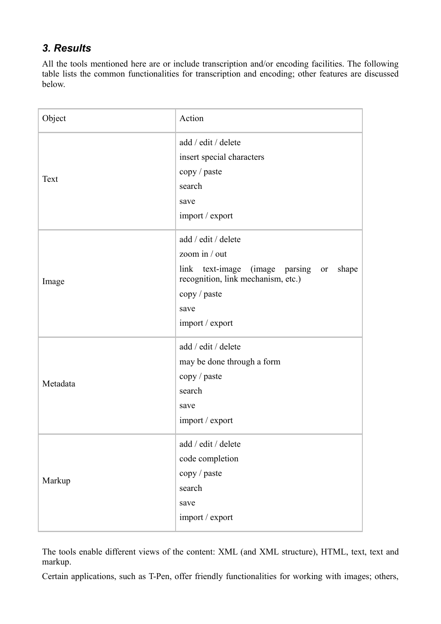# *3. Results*

All the tools mentioned here are or include transcription and/or encoding facilities. The following table lists the common functionalities for transcription and encoding; other features are discussed below.

| Object   | Action                                                                                                                                                              |
|----------|---------------------------------------------------------------------------------------------------------------------------------------------------------------------|
| Text     | add / edit / delete<br>insert special characters<br>copy / paste<br>search<br>save<br>import / export                                                               |
| Image    | add / edit / delete<br>zoom in / out<br>link text-image (image parsing or<br>shape<br>recognition, link mechanism, etc.)<br>copy / paste<br>save<br>import / export |
| Metadata | add / edit / delete<br>may be done through a form<br>copy / paste<br>search<br>save<br>import / export                                                              |
| Markup   | add / edit / delete<br>code completion<br>copy / paste<br>search<br>save<br>import / export                                                                         |

The tools enable different views of the content: XML (and XML structure), HTML, text, text and markup.

Certain applications, such as T-Pen, offer friendly functionalities for working with images; others,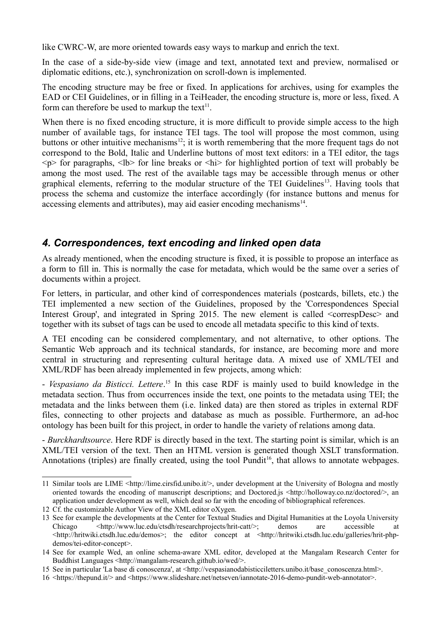like CWRC-W, are more oriented towards easy ways to markup and enrich the text.

In the case of a side-by-side view (image and text, annotated text and preview, normalised or diplomatic editions, etc.), synchronization on scroll-down is implemented.

The encoding structure may be free or fixed. In applications for archives, using for examples the EAD or CEI Guidelines, or in filling in a TeiHeader, the encoding structure is, more or less, fixed. A form can therefore be used to markup the text $1$ .

When there is no fixed encoding structure, it is more difficult to provide simple access to the high number of available tags, for instance TEI tags. The tool will propose the most common, using buttons or other intuitive mechanisms<sup>[12](#page-3-1)</sup>; it is worth remembering that the more frequent tags do not correspond to the Bold, Italic and Underline buttons of most text editors: in a TEI editor, the tags  $\langle p \rangle$  for paragraphs,  $\langle b \rangle$  for line breaks or  $\langle h \rangle$  for highlighted portion of text will probably be among the most used. The rest of the available tags may be accessible through menus or other graphical elements, referring to the modular structure of the TEI Guidelines<sup>[13](#page-3-2)</sup>. Having tools that process the schema and customize the interface accordingly (for instance buttons and menus for accessing elements and attributes), may aid easier encoding mechanisms<sup>[14](#page-3-3)</sup>.

# *4. Correspondences, text encoding and linked open data*

As already mentioned, when the encoding structure is fixed, it is possible to propose an interface as a form to fill in. This is normally the case for metadata, which would be the same over a series of documents within a project.

For letters, in particular, and other kind of correspondences materials (postcards, billets, etc.) the TEI implemented a new section of the Guidelines, proposed by the 'Correspondences Special Interest Group', and integrated in Spring 2015. The new element is called  $\leq$ correspDesc $>$  and together with its subset of tags can be used to encode all metadata specific to this kind of texts.

A TEI encoding can be considered complementary, and not alternative, to other options. The Semantic Web approach and its technical standards, for instance, are becoming more and more central in structuring and representing cultural heritage data. A mixed use of XML/TEI and XML/RDF has been already implemented in few projects, among which:

- *Vespasiano da Bisticci. Lettere*. [15](#page-3-4) In this case RDF is mainly used to build knowledge in the metadata section. Thus from occurrences inside the text, one points to the metadata using TEI; the metadata and the links between them (i.e. linked data) are then stored as triples in external RDF files, connecting to other projects and database as much as possible. Furthermore, an ad-hoc ontology has been built for this project, in order to handle the variety of relations among data.

- *Burckhardtsource*. Here RDF is directly based in the text. The starting point is similar, which is an XML/TEI version of the text. Then an HTML version is generated though XSLT transformation. Annotations (triples) are finally created, using the tool Pundit<sup>[16](#page-3-5)</sup>, that allows to annotate webpages.

<span id="page-3-0"></span><sup>11</sup> Similar tools are LIME <http://lime.cirsfid.unibo.it/>, under development at the University of Bologna and mostly oriented towards the encoding of manuscript descriptions; and Doctored.js <http://holloway.co.nz/doctored/>, an application under development as well, which deal so far with the encoding of bibliographical references.

<span id="page-3-1"></span><sup>12</sup> Cf. the customizable Author View of the XML editor oXygen.

<span id="page-3-2"></span><sup>13</sup> See for example the developments at the Center for Textual Studies and Digital Humanities at the Loyola University Chicago <http://www.luc.edu/ctsdh/researchprojects/hrit-catt/>; demos are accessible at <http://hritwiki.ctsdh.luc.edu/demos>; the editor concept at <http://hritwiki.ctsdh.luc.edu/galleries/hrit-phpdemos/tei-editor-concept>.

<span id="page-3-3"></span><sup>14</sup> See for example Wed, an online schema-aware XML editor, developed at the Mangalam Research Center for Buddhist Languages <http://mangalam-research.github.io/wed/>.

<span id="page-3-4"></span><sup>15</sup> See in particular 'La base di conoscenza', at <http://vespasianodabisticciletters.unibo.it/base\_conoscenza.html>.

<span id="page-3-5"></span><sup>16</sup> <https://thepund.it/> and <https://www.slideshare.net/netseven/iannotate-2016-demo-pundit-web-annotator>.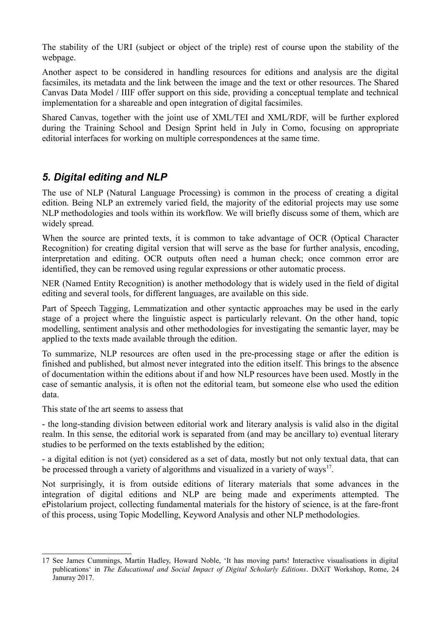The stability of the URI (subject or object of the triple) rest of course upon the stability of the webpage.

Another aspect to be considered in handling resources for editions and analysis are the digital facsimiles, its metadata and the link between the image and the text or other resources. The Shared Canvas Data Model / IIIF offer support on this side, providing a conceptual template and technical implementation for a shareable and open integration of digital facsimiles.

Shared Canvas, together with the joint use of XML/TEI and XML/RDF, will be further explored during the Training School and Design Sprint held in July in Como, focusing on appropriate editorial interfaces for working on multiple correspondences at the same time.

### *5. Digital editing and NLP*

The use of NLP (Natural Language Processing) is common in the process of creating a digital edition. Being NLP an extremely varied field, the majority of the editorial projects may use some NLP methodologies and tools within its workflow. We will briefly discuss some of them, which are widely spread.

When the source are printed texts, it is common to take advantage of OCR (Optical Character Recognition) for creating digital version that will serve as the base for further analysis, encoding, interpretation and editing. OCR outputs often need a human check; once common error are identified, they can be removed using regular expressions or other automatic process.

NER (Named Entity Recognition) is another methodology that is widely used in the field of digital editing and several tools, for different languages, are available on this side.

Part of Speech Tagging, Lemmatization and other syntactic approaches may be used in the early stage of a project where the linguistic aspect is particularly relevant. On the other hand, topic modelling, sentiment analysis and other methodologies for investigating the semantic layer, may be applied to the texts made available through the edition.

To summarize, NLP resources are often used in the pre-processing stage or after the edition is finished and published, but almost never integrated into the edition itself. This brings to the absence of documentation within the editions about if and how NLP resources have been used. Mostly in the case of semantic analysis, it is often not the editorial team, but someone else who used the edition data.

This state of the art seems to assess that

- the long-standing division between editorial work and literary analysis is valid also in the digital realm. In this sense, the editorial work is separated from (and may be ancillary to) eventual literary studies to be performed on the texts established by the edition;

- a digital edition is not (yet) considered as a set of data, mostly but not only textual data, that can be processed through a variety of algorithms and visualized in a variety of ways<sup>[17](#page-4-0)</sup>.

Not surprisingly, it is from outside editions of literary materials that some advances in the integration of digital editions and NLP are being made and experiments attempted. The ePistolarium project, collecting fundamental materials for the history of science, is at the fare-front of this process, using Topic Modelling, Keyword Analysis and other NLP methodologies.

<span id="page-4-0"></span><sup>17</sup> See James Cummings, Martin Hadley, Howard Noble, 'It has moving parts! Interactive visualisations in digital publications' in *The Educational and Social Impact of Digital Scholarly Editions*. DiXiT Workshop, Rome, 24 Januray 2017.